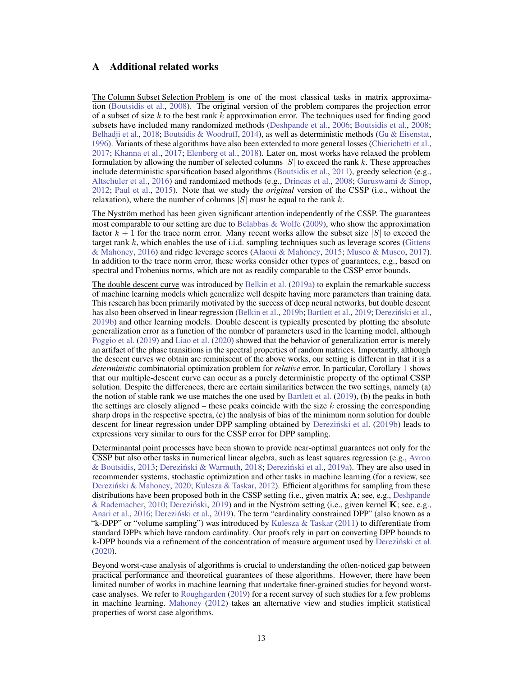# A Additional related works

The Column Subset Selection Problem is one of the most classical tasks in matrix approximation [\(Boutsidis et al.,](#page-9-0) [2008\)](#page-9-0). The original version of the problem compares the projection error of a subset of size *k* to the best rank *k* approximation error. The techniques used for finding good subsets have included many randomized methods [\(Deshpande et al.,](#page-10-0) [2006;](#page-10-0) [Boutsidis et al.,](#page-9-0) [2008;](#page-9-0) [Belhadji et al.,](#page-9-1) [2018;](#page-9-1) [Boutsidis & Woodruff,](#page-9-2) [2014\)](#page-9-2), as well as deterministic methods [\(Gu & Eisenstat,](#page-10-1) [1996\)](#page-10-1). Variants of these algorithms have also been extended to more general losses [\(Chierichetti et al.,](#page-9-3) [2017;](#page-9-3) [Khanna et al.,](#page-10-2) [2017;](#page-10-2) [Elenberg et al.,](#page-10-3) [2018\)](#page-10-3). Later on, most works have relaxed the problem formulation by allowing the number of selected columns |*S*| to exceed the rank *k*. These approaches include deterministic sparsification based algorithms [\(Boutsidis et al.,](#page-9-4) [2011\)](#page-9-4), greedy selection (e.g., [Altschuler et al.,](#page-8-0) [2016\)](#page-8-0) and randomized methods (e.g., [Drineas et al.,](#page-10-4) [2008;](#page-10-4) [Guruswami & Sinop,](#page-10-5) [2012;](#page-10-5) [Paul et al.,](#page-11-0) [2015\)](#page-11-0). Note that we study the *original* version of the CSSP (i.e., without the relaxation), where the number of columns |*S*| must be equal to the rank *k*.

The Nyström method has been given significant attention independently of the CSSP. The guarantees most comparable to our setting are due to [Belabbas & Wolfe](#page-9-5)  $(2009)$ , who show the approximation factor  $k + 1$  for the trace norm error. Many recent works allow the subset size |*S*| to exceed the target rank *k*, which enables the use of i.i.d. sampling techniques such as leverage scores [\(Gittens](#page-10-6) [& Mahoney,](#page-10-6) [2016\)](#page-10-6) and ridge leverage scores [\(Alaoui & Mahoney,](#page-8-1) [2015;](#page-8-1) [Musco & Musco,](#page-11-1) [2017\)](#page-11-1). In addition to the trace norm error, these works consider other types of guarantees, e.g., based on spectral and Frobenius norms, which are not as readily comparable to the CSSP error bounds.

The double descent curve was introduced by [Belkin et al.](#page-9-6) [\(2019a\)](#page-9-6) to explain the remarkable success of machine learning models which generalize well despite having more parameters than training data. This research has been primarily motivated by the success of deep neural networks, but double descent has also been observed in linear regression [\(Belkin et al.,](#page-9-7) [2019b;](#page-9-7) [Bartlett et al.,](#page-9-8) [2019;](#page-9-8) [Derezinski et al.](#page-10-7), [2019b\)](#page-10-7) and other learning models. Double descent is typically presented by plotting the absolute generalization error as a function of the number of parameters used in the learning model, although [Poggio et al.](#page-11-2) [\(2019\)](#page-11-2) and [Liao et al.](#page-11-3) [\(2020\)](#page-11-3) showed that the behavior of generalization error is merely an artifact of the phase transitions in the spectral properties of random matrices. Importantly, although the descent curves we obtain are reminiscent of the above works, our setting is different in that it is a *deterministic* combinatorial optimization problem for *relative* error. In particular, Corollary [1](#page-3-0) shows that our multiple-descent curve can occur as a purely deterministic property of the optimal CSSP solution. Despite the differences, there are certain similarities between the two settings, namely (a) the notion of stable rank we use matches the one used by [Bartlett et al.](#page-9-8) [\(2019\)](#page-9-8), (b) the peaks in both the settings are closely aligned – these peaks coincide with the size *k* crossing the corresponding sharp drops in the respective spectra, (c) the analysis of bias of the minimum norm solution for double descent for linear regression under DPP sampling obtained by [Derezinski et al.](#page-10-7) [\(2019b\)](#page-10-7) leads to expressions very similar to ours for the CSSP error for DPP sampling.

Determinantal point processes have been shown to provide near-optimal guarantees not only for the CSSP but also other tasks in numerical linear algebra, such as least squares regression (e.g., [Avron](#page-8-2) [& Boutsidis,](#page-8-2) [2013;](#page-8-2) [Derezinski & Warmuth](#page-9-9), [2018;](#page-9-9) [Derezinski et al.](#page-10-8), [2019a\)](#page-10-8). They are also used in recommender systems, stochastic optimization and other tasks in machine learning (for a review, see [Derezinski & Mahoney](#page-9-10), [2020;](#page-9-10) [Kulesza & Taskar,](#page-11-4) [2012\)](#page-11-4). Efficient algorithms for sampling from these distributions have been proposed both in the CSSP setting (i.e., given matrix A; see, e.g., [Deshpande](#page-10-9) [& Rademacher,](#page-10-9) [2010;](#page-10-9) [Derezinski](#page-9-11), [2019\)](#page-9-11) and in the Nyström setting (i.e., given kernel  $\bf{K}$ ; see, e.g., [Anari et al.,](#page-8-3) [2016;](#page-8-3) Dereziński et al., [2019\)](#page-9-12). The term "cardinality constrained DPP" (also known as a "k-DPP" or "volume sampling") was introduced by Kulesza  $\&$  Taskar [\(2011\)](#page-11-5) to differentiate from standard DPPs which have random cardinality. Our proofs rely in part on converting DPP bounds to k-DPP bounds via a refinement of the concentration of measure argument used by [Derezinski et al.](#page-10-10) [\(2020\)](#page-10-10).

Beyond worst-case analysis of algorithms is crucial to understanding the often-noticed gap between practical performance and theoretical guarantees of these algorithms. However, there have been limited number of works in machine learning that undertake finer-grained studies for beyond worstcase analyses. We refer to [Roughgarden](#page-11-6) [\(2019\)](#page-11-6) for a recent survey of such studies for a few problems in machine learning. [Mahoney](#page-11-7) [\(2012\)](#page-11-7) takes an alternative view and studies implicit statistical properties of worst case algorithms.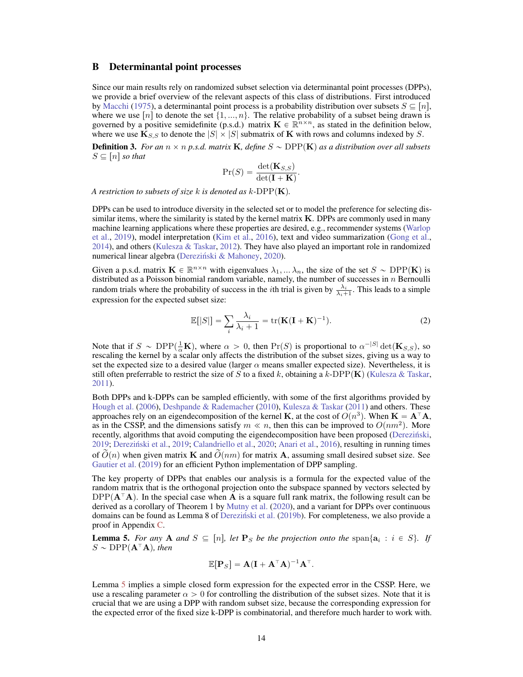## B Determinantal point processes

Since our main results rely on randomized subset selection via determinantal point processes (DPPs), we provide a brief overview of the relevant aspects of this class of distributions. First introduced by [Macchi](#page-11-8) [\(1975\)](#page-11-8), a determinantal point process is a probability distribution over subsets  $S \subseteq [n]$ , where we use  $[n]$  to denote the set  $\{1, ..., n\}$ . The relative probability of a subset being drawn is governed by a positive semidefinite (p.s.d.) matrix  $\mathbf{K} \in \mathbb{R}^{n \times n}$ , as stated in the definition below, where we use  $\mathbf{K}_{S,S}$  to denote the  $|S| \times |S|$  submatrix of **K** with rows and columns indexed by *S*.

**Definition 3.** For an  $n \times n$  p.s.d. matrix **K**, define  $S \sim \text{DPP}(\mathbf{K})$  as a distribution over all subsets  $S \subseteq [n]$  *so that* 

$$
\Pr(S) = \frac{\det(\mathbf{K}_{S,S})}{\det(\mathbf{I} + \mathbf{K})}.
$$

*A restriction to subsets of size*  $k$  *is denoted as*  $k$ -DPP $(K)$ *.* 

DPPs can be used to introduce diversity in the selected set or to model the preference for selecting dissimilar items, where the similarity is stated by the kernel matrix  $\bf{K}$ . DPPs are commonly used in many machine learning applications where these properties are desired, e.g., recommender systems [\(Warlop](#page-11-9) [et al.,](#page-11-9) [2019\)](#page-11-9), model interpretation [\(Kim et al.,](#page-10-11) [2016\)](#page-10-11), text and video summarization [\(Gong et al.,](#page-10-12) [2014\)](#page-10-12), and others [\(Kulesza & Taskar,](#page-11-4) [2012\)](#page-11-4). They have also played an important role in randomized numerical linear algebra (Dereziński & Mahoney, [2020\)](#page-9-10).

Given a p.s.d. matrix  $\mathbf{K} \in \mathbb{R}^{n \times n}$  with eigenvalues  $\lambda_1, \dots, \lambda_n$ , the size of the set  $S \sim \text{DPP}(\mathbf{K})$  is distributed as a Poisson binomial random variable, namely, the number of successes in *n* Bernoulli random trials where the probability of success in the *i*th trial is given by  $\frac{\lambda_i}{\lambda_i+1}$ . This leads to a simple expression for the expected subset size:

$$
\mathbb{E}[|S|] = \sum_{i} \frac{\lambda_i}{\lambda_i + 1} = \text{tr}(\mathbf{K}(\mathbf{I} + \mathbf{K})^{-1}).
$$
\n(2)

Note that if  $S \sim \text{DPP}(\frac{1}{\alpha}\mathbf{K})$ , where  $\alpha > 0$ , then  $\Pr(S)$  is proportional to  $\alpha^{-|S|}\det(\mathbf{K}_{S,S})$ , so rescaling the kernel by a scalar only affects the distribution of the subset sizes, giving us a way to set the expected size to a desired value (larger  $\alpha$  means smaller expected size). Nevertheless, it is still often preferrable to restrict the size of *S* to a fixed *k*, obtaining a *k*-DPP $(K)$  [\(Kulesza & Taskar,](#page-11-5) [2011\)](#page-11-5).

Both DPPs and k-DPPs can be sampled efficiently, with some of the first algorithms provided by [Hough et al.](#page-10-13) [\(2006\)](#page-10-13), [Deshpande & Rademacher](#page-10-9) [\(2010\)](#page-10-9), [Kulesza & Taskar](#page-11-5) [\(2011\)](#page-11-5) and others. These approaches rely on an eigendecomposition of the kernel **K**, at the cost of  $O(n^3)$ . When  $\mathbf{K} = \mathbf{A}^\top \mathbf{A}$ , as in the CSSP, and the dimensions satisfy  $m \ll n$ , then this can be improved to  $O(nm^2)$ . More recently, algorithms that avoid computing the eigendecomposition have been proposed [\(Derezinski](#page-9-11), [2019;](#page-9-12) Dereziński et al., 2019; [Calandriello et al.,](#page-9-13) [2020;](#page-9-13) [Anari et al.,](#page-8-3) [2016\)](#page-8-3), resulting in running times of  $O(n)$  when given matrix K and  $O(nm)$  for matrix A, assuming small desired subset size. See [Gautier et al.](#page-10-14) [\(2019\)](#page-10-14) for an efficient Python implementation of DPP sampling.

The key property of DPPs that enables our analysis is a formula for the expected value of the random matrix that is the orthogonal projection onto the subspace spanned by vectors selected by  $DPP(A<sup>T</sup>A)$ . In the special case when A is a square full rank matrix, the following result can be derived as a corollary of Theorem 1 by [Mutny et al.](#page-11-10) [\(2020\)](#page-11-10), and a variant for DPPs over continuous domains can be found as Lemma 8 of Dereziński et al. [\(2019b\)](#page-10-7). For completeness, we also provide a proof in Appendix [C.](#page--1-0)

**Lemma 5.** For any **A** and  $S \subseteq [n]$ , let  $\mathbf{P}_S$  be the projection onto the span $\{a_i : i \in S\}$ . If  $S \sim \text{DPP}(\mathbf{A}^{\top} \mathbf{A})$ *, then* 

$$
\mathbb{E}[\mathbf{P}_S] = \mathbf{A}(\mathbf{I} + \mathbf{A}^\top \mathbf{A})^{-1} \mathbf{A}^\top.
$$

<span id="page-1-0"></span>Lemma [5](#page--1-1) implies a simple closed form expression for the expected error in the CSSP. Here, we use a rescaling parameter  $\alpha > 0$  for controlling the distribution of the subset sizes. Note that it is crucial that we are using a DPP with random subset size, because the corresponding expression for the expected error of the fixed size k-DPP is combinatorial, and therefore much harder to work with.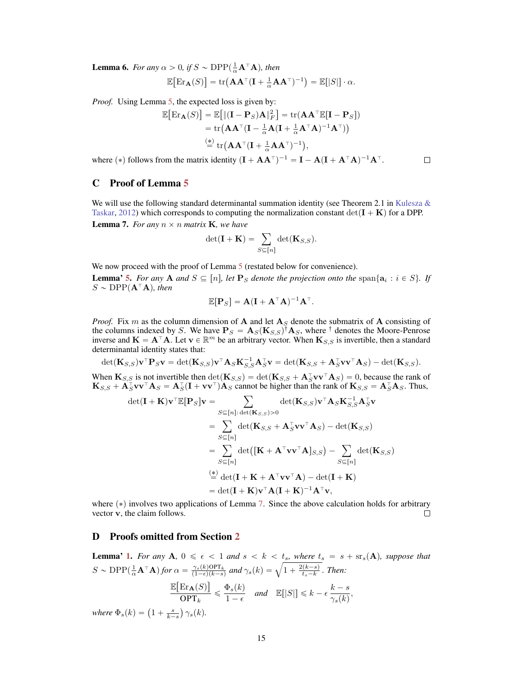**Lemma 6.** For any  $\alpha > 0$ , if  $S \sim \text{DPP}(\frac{1}{\alpha} \mathbf{A}^T \mathbf{A})$ , then

$$
\mathbb{E}\big[\mathrm{Er}_{\mathbf{A}}(S)\big] = \mathrm{tr}\big(\mathbf{A}\mathbf{A}^\top(\mathbf{I} + \frac{1}{\alpha}\mathbf{A}\mathbf{A}^\top)^{-1}\big) = \mathbb{E}[|S|] \cdot \alpha.
$$

*Proof.* Using Lemma [5,](#page--1-1) the expected loss is given by:

$$
\mathbb{E}\big[\text{Er}_{\mathbf{A}}(S)\big] = \mathbb{E}\big[\|(\mathbf{I} - \mathbf{P}_S)\mathbf{A}\|_F^2\big] = \text{tr}(\mathbf{A}\mathbf{A}^\top \mathbb{E}[\mathbf{I} - \mathbf{P}_S])
$$
  
= tr(\mathbf{A}\mathbf{A}^\top (\mathbf{I} - \frac{1}{\alpha}\mathbf{A}(\mathbf{I} + \frac{1}{\alpha}\mathbf{A}^\top\mathbf{A})^{-1}\mathbf{A}^\top))  
 $\stackrel{(*)}{=} \text{tr}(\mathbf{A}\mathbf{A}^\top (\mathbf{I} + \frac{1}{\alpha}\mathbf{A}\mathbf{A}^\top)^{-1}),$ 

 $\Box$ 

where (\*) follows from the matrix identity  $(I + AA^{\dagger})^{-1} = I - A(I + A^{\dagger}A)^{-1}A^{\dagger}$ .

# C Proof of Lemma [5](#page--1-1)

We will use the following standard determinantal summation identity (see Theorem 2.1 in Kulesza  $\&$ [Taskar,](#page-11-4) [2012\)](#page-11-4) which corresponds to computing the normalization constant  $\det(\mathbf{I} + \mathbf{K})$  for a DPP. **Lemma 7.** *For any*  $n \times n$  *matrix* **K***, we have* 

$$
\det(\mathbf{I} + \mathbf{K}) = \sum_{S \subseteq [n]} \det(\mathbf{K}_{S,S}).
$$

We now proceed with the proof of Lemma [5](#page--1-1) (restated below for convenience).

**Lemma' [5.](#page--1-1)** *For any* **A** *and*  $S \subseteq [n]$ , let **P**<sub>S</sub> denote the projection onto the span $\{a_i : i \in S\}$ . If  $S \sim \text{DPP}(\mathbf{A}^{\top} \mathbf{A})$ *, then* 

$$
\mathbb{E}[\mathbf{P}_S] = \mathbf{A}(\mathbf{I} + \mathbf{A}^\top \mathbf{A})^{-1} \mathbf{A}^\top.
$$

<span id="page-2-0"></span>*Proof.* Fix *m* as the column dimension of **A** and let  $A<sub>S</sub>$  denote the submatrix of **A** consisting of the columns indexed by *S*. We have  $P_S = A_S(K_{S,S})^{\dagger} A_S$ , where  $^{\dagger}$  denotes the Moore-Penrose inverse and  $K = A^{\top}A$ . Let  $v \in \mathbb{R}^m$  be an arbitrary vector. When  $K_{S,S}$  is invertible, then a standard determinantal identity states that:

$$
\det(\mathbf{K}_{S,S})\mathbf{v}^{\top}\mathbf{P}_{S}\mathbf{v} = \det(\mathbf{K}_{S,S})\mathbf{v}^{\top}\mathbf{A}_{S}\mathbf{K}_{S,S}^{-1}\mathbf{A}_{S}^{\top}\mathbf{v} = \det(\mathbf{K}_{S,S} + \mathbf{A}_{S}^{\top}\mathbf{v}\mathbf{v}^{\top}\mathbf{A}_{S}) - \det(\mathbf{K}_{S,S}).
$$

When  $\mathbf{K}_{S,S}$  is not invertible then  $\det(\mathbf{K}_{S,S}) = \det(\mathbf{K}_{S,S} + \mathbf{A}_{S}^{\top}\mathbf{v}\mathbf{v}^{\top}\mathbf{A}_{S}) = 0$ , because the rank of  $\mathbf{K}_{S,S} + \mathbf{A}_S^{\top} \mathbf{v} \mathbf{v}^{\top} \mathbf{A}_S = \mathbf{A}_S^{\top} (\mathbf{I} + \mathbf{v} \mathbf{v}^{\top}) \mathbf{A}_S$  cannot be higher than the rank of  $\mathbf{K}_{S,S} = \mathbf{A}_S^{\top} \mathbf{A}_S$ . Thus,

$$
\det(\mathbf{I} + \mathbf{K})\mathbf{v}^{\top}\mathbb{E}[\mathbf{P}_{S}]\mathbf{v} = \sum_{S \subseteq [n]: \det(\mathbf{K}_{S,S}) > 0} \det(\mathbf{K}_{S,S})\mathbf{v}^{\top}\mathbf{A}_{S}\mathbf{K}_{S,S}^{-1}\mathbf{A}_{S}^{\top}\mathbf{v}
$$
  
\n
$$
= \sum_{S \subseteq [n]} \det(\mathbf{K}_{S,S} + \mathbf{A}_{S}^{\top}\mathbf{v}\mathbf{v}^{\top}\mathbf{A}_{S}) - \det(\mathbf{K}_{S,S})
$$
  
\n
$$
= \sum_{S \subseteq [n]} \det([\mathbf{K} + \mathbf{A}^{\top}\mathbf{v}\mathbf{v}^{\top}\mathbf{A}]_{S,S}) - \sum_{S \subseteq [n]} \det(\mathbf{K}_{S,S})
$$
  
\n
$$
\stackrel{\text{(*)}}{=} \det(\mathbf{I} + \mathbf{K} + \mathbf{A}^{\top}\mathbf{v}\mathbf{v}^{\top}\mathbf{A}) - \det(\mathbf{I} + \mathbf{K})
$$
  
\n
$$
= \det(\mathbf{I} + \mathbf{K})\mathbf{v}^{\top}\mathbf{A}(\mathbf{I} + \mathbf{K})^{-1}\mathbf{A}^{\top}\mathbf{v},
$$

where ( $*$ ) involves two applications of Lemma [7.](#page--1-2) Since the above calculation holds for arbitrary vector **v**. the claim follows. vector v, the claim follows.

## D Proofs omitted from Section [2](#page-4-0)

<span id="page-2-1"></span>**Lemma' [1.](#page-4-1)** For any A,  $0 \le \epsilon < 1$  and  $s < k < t_s$ , where  $t_s = s + s r_s(A)$ , suppose that  $S \sim \text{DPP}(\frac{1}{\alpha} \mathbf{A}^{\top} \mathbf{A})$  for  $\alpha = \frac{\gamma_s(k) \text{OPT}_k}{(1-\epsilon)(k-s)}$  and  $\gamma_s(k) = \sqrt{1 + \frac{2(k-s)}{t_s - k}}$ . Then:  $\mathbb{E}\bigl[\text{Er}_{\mathbf{A}}(S)\bigr]$  $\frac{\text{Er}_{\mathbf{A}}(S)}{\text{OPT}_k} \leq \frac{\Phi_s(k)}{1-\epsilon}$  and  $\mathbb{E}[|S|] \leq k - \epsilon \frac{k-s}{\gamma_s(k)},$ *where*  $\Phi_s(k) = \left(1 + \frac{s}{k-s}\right) \gamma_s(k)$ .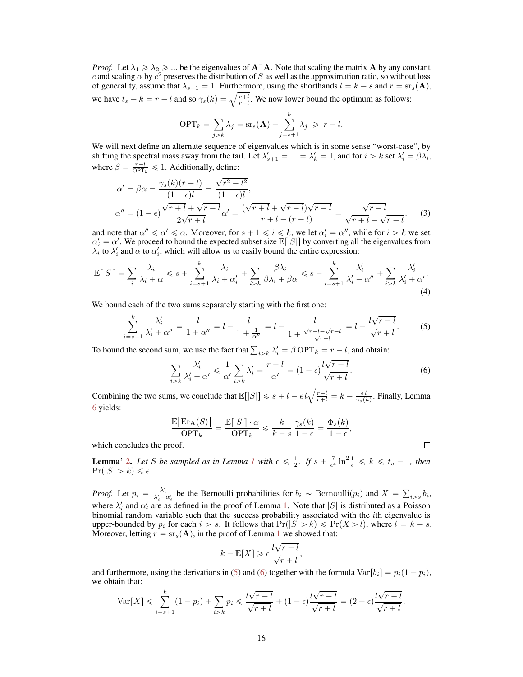*Proof.* Let  $\lambda_1 \ge \lambda_2 \ge ...$  be the eigenvalues of  $A^{\top}A$ . Note that scaling the matrix A by any constant *c* and scaling  $\alpha$  by  $c^2$  preserves the distribution of *S* as well as the approximation ratio, so without loss of generality, assume that  $\lambda_{s+1} = 1$ . Furthermore, using the shorthands  $l = k - s$  and  $r = \text{sr}_s(\mathbf{A})$ , we have  $t_s - k = r - l$  and so  $\gamma_s(k) = \sqrt{\frac{r+l}{r-l}}$ . We now lower bound the optimum as follows:

$$
\text{OPT}_k = \sum_{j>k} \lambda_j = \text{sr}_s(\mathbf{A}) - \sum_{j=s+1}^k \lambda_j \geqslant r - l.
$$

<span id="page-3-0"></span>We will next define an alternate sequence of eigenvalues which is in some sense "worst-case", by shifting the spectral mass away from the tail. Let  $\lambda'_{s+1} = ... = \lambda'_k = 1$ , and for  $i > k$  set  $\lambda'_i = \beta \lambda_i$ , where  $\beta = \frac{r-l}{\text{OPT}_k} \leq 1$ . Additionally, define:

$$
\alpha' = \beta \alpha = \frac{\gamma_s(k)(r-l)}{(1-\epsilon)l} = \frac{\sqrt{r^2 - l^2}}{(1-\epsilon)l},
$$
  
\n
$$
\alpha'' = (1-\epsilon)\frac{\sqrt{r+l} + \sqrt{r-l}}{2\sqrt{r+l}}\alpha' = \frac{(\sqrt{r+l} + \sqrt{r-l})\sqrt{r-l}}{r+l - (r-l)} = \frac{\sqrt{r-l}}{\sqrt{r+l} - \sqrt{r-l}}.
$$
\n(3)

and note that  $\alpha'' \le \alpha' \le \alpha$ . Moreover, for  $s + 1 \le i \le k$ , we let  $\alpha'_i = \alpha''$ , while for  $i > k$  we set  $\alpha'_i = \alpha'$ . We proceed to bound the expected subset size  $\mathbb{E}[|S|]$  by converting all the eigenvalues from  $\lambda_i$  to  $\lambda'_i$  and  $\alpha$  to  $\alpha'_i$ , which will allow us to easily bound the entire expression:

$$
\mathbb{E}[|S|] = \sum_{i} \frac{\lambda_i}{\lambda_i + \alpha} \leqslant s + \sum_{i=s+1}^{k} \frac{\lambda_i}{\lambda_i + \alpha'_i} + \sum_{i>k} \frac{\beta \lambda_i}{\beta \lambda_i + \beta \alpha} \leqslant s + \sum_{i=s+1}^{k} \frac{\lambda'_i}{\lambda'_i + \alpha''} + \sum_{i>k} \frac{\lambda'_i}{\lambda'_i + \alpha'}.
$$
\n(4)

We bound each of the two sums separately starting with the first one:

$$
\sum_{i=s+1}^{k} \frac{\lambda_i'}{\lambda_i' + \alpha''} = \frac{l}{1 + \alpha''} = l - \frac{l}{1 + \frac{1}{\alpha''}} = l - \frac{l}{1 + \frac{\sqrt{r+1} - \sqrt{r-1}}{\sqrt{r-1}}} = l - \frac{l\sqrt{r-1}}{\sqrt{r+l}}.
$$
 (5)

To bound the second sum, we use the fact that  $\sum_{i>k} \lambda'_i = \beta \text{OPT}_k = r - l$ , and obtain:

$$
\sum_{i>k} \frac{\lambda_i'}{\lambda_i' + \alpha'} \leq \frac{1}{\alpha'} \sum_{i>k} \lambda_i' = \frac{r-l}{\alpha'} = (1-\epsilon) \frac{l\sqrt{r-l}}{\sqrt{r+l}}.
$$
 (6)

 $\Box$ 

Combining the two sums, we conclude that  $\mathbb{E}[|S|] \leq s + l - \epsilon l \sqrt{\frac{r-l}{r+l}} = k - \frac{\epsilon l}{\gamma_s(k)}$ . Finally, Lemma [6](#page--1-3) yields:

$$
\frac{\mathbb{E}\big[\mathrm{Er}_{\mathbf{A}}(S)\big]}{\mathrm{OPT}_k} = \frac{\mathbb{E}[|S|] \cdot \alpha}{\mathrm{OPT}_k} \leqslant \frac{k}{k-s} \frac{\gamma_s(k)}{1-\epsilon} = \frac{\Phi_s(k)}{1-\epsilon},
$$

which concludes the proof.

**Lemma' [2.](#page-4-2)** Let *S* be sampled as in Lemma [1](#page-4-1) with  $\epsilon \leq \frac{1}{2}$ . If  $s + \frac{7}{\epsilon^4} \ln^2 \frac{1}{\epsilon} \leq k \leq t_s - 1$ , then  $Pr(|S| > k) \leq \epsilon$ .

*Proof.* Let  $p_i = \frac{\lambda'_i}{\lambda'_i + \alpha'_i}$  be the Bernoulli probabilities for  $b_i \sim \text{Bernoulli}(p_i)$  and  $X = \sum_{i>s} b_i$ , where  $\lambda'_i$  and  $\alpha'_i$  are as defined in the proof of Lemma [1.](#page-4-1) Note that  $|S|$  is distributed as a Poisson binomial random variable such that the success probability associated with the *i*th eigenvalue is upper-bounded by  $p_i$  for each  $i > s$ . It follows that  $Pr(|S| > k) \leqslant Pr(X > l)$ , where  $l = k - s$ . Moreover, letting  $r = s r_s(A)$ , in the proof of Lemma [1](#page-4-1) we showed that:

$$
k - \mathbb{E}[X] \geqslant \epsilon \frac{l\sqrt{r-l}}{\sqrt{r+l}},
$$

and furthermore, using the derivations in [\(5\)](#page--1-4) and [\(6\)](#page--1-5) together with the formula  $Var[b_i] = p_i(1 - p_i)$ , we obtain that:

$$
\text{Var}[X] \leq \sum_{i=s+1}^{k} (1-p_i) + \sum_{i>k} p_i \leq \frac{l\sqrt{r-l}}{\sqrt{r+l}} + (1-\epsilon)\frac{l\sqrt{r-l}}{\sqrt{r+l}} = (2-\epsilon)\frac{l\sqrt{r-l}}{\sqrt{r+l}}.
$$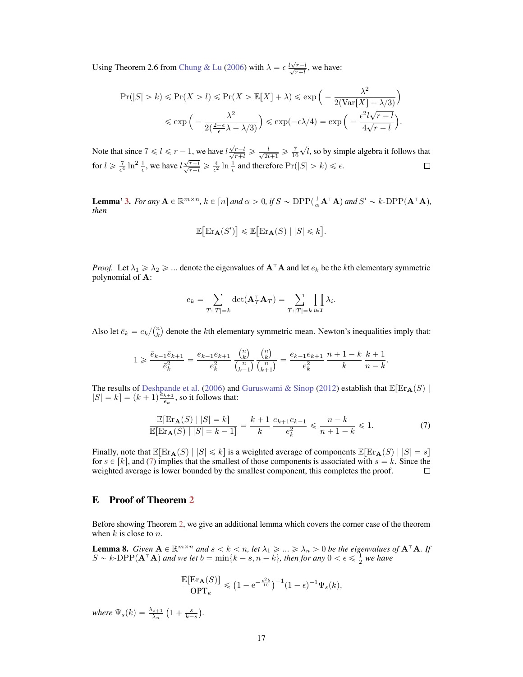Using Theorem 2.6 from [Chung & Lu](#page-9-14) [\(2006\)](#page-9-14) with  $\lambda = \epsilon \frac{l\sqrt{r-l}}{\sqrt{r+l}}$ , we have:

$$
\Pr(|S| > k) \le \Pr(X > l) \le \Pr(X > \mathbb{E}[X] + \lambda) \le \exp\left(-\frac{\lambda^2}{2(\text{Var}[X] + \lambda/3)}\right) \le \exp\left(-\frac{\lambda^2}{2(\frac{2-\epsilon}{\epsilon}\lambda + \lambda/3)}\right) \le \exp\left(-\epsilon\lambda/4\right) = \exp\left(-\frac{\epsilon^2 l \sqrt{r - l}}{4\sqrt{r + l}}\right).
$$

<span id="page-4-0"></span>Note that since  $7 \le l \le r - 1$ , we have  $l \frac{\sqrt{r-l}}{\sqrt{r+l}} \ge \frac{l}{\sqrt{2l+1}} \ge \frac{7}{16}$  $\sqrt{l}$ , so by simple algebra it follows that for  $l \ge \frac{7}{\epsilon^4} \ln^2 \frac{1}{\epsilon}$ , we have  $l \frac{\sqrt{r-l}}{\sqrt{r+l}} \ge \frac{4}{\epsilon^2} \ln \frac{1}{\epsilon}$  and therefore  $Pr(|S| > k) \le \epsilon$ .

**Lemma' [3.](#page-4-3)** For any  $A \in \mathbb{R}^{m \times n}$ ,  $k \in [n]$  and  $\alpha > 0$ , if  $S \sim \text{DPP}(\frac{1}{\alpha}A^{T}A)$  and  $S' \sim k\text{-DPP}(A^{T}A)$ , *then*

$$
\mathbb{E}\big[\text{Er}_{\mathbf{A}}(S')\big] \le \mathbb{E}\big[\text{Er}_{\mathbf{A}}(S) \mid |S| \le k\big].
$$

*Proof.* Let  $\lambda_1 \geq \lambda_2 \geq \ldots$  denote the eigenvalues of  $A^{\top}A$  and let  $e_k$  be the *k*th elementary symmetric polynomial of A:

$$
e_k = \sum_{T:|T|=k} \det(\mathbf{A}_T^{\top} \mathbf{A}_T) = \sum_{T:|T|=k} \prod_{i \in T} \lambda_i.
$$

Also let  $\bar{e}_k = e_k / {n \choose k}$  denote the *k*th elementary symmetric mean. Newton's inequalities imply that:

$$
1 \geqslant \frac{\bar{e}_{k-1}\bar{e}_{k+1}}{\bar{e}_k^2} = \frac{e_{k-1}e_{k+1}}{e_k^2} \frac{\binom{n}{k}}{\binom{n}{k-1}} \frac{\binom{n}{k}}{\binom{n}{k+1}} = \frac{e_{k-1}e_{k+1}}{e_k^2} \frac{n+1-k}{k} \frac{k+1}{n-k}.
$$

<span id="page-4-1"></span>The results of [Deshpande et al.](#page-10-0) [\(2006\)](#page-10-0) and [Guruswami & Sinop](#page-10-5) [\(2012\)](#page-10-5) establish that  $\mathbb{E}[\text{Er}_{\mathbf{A}}(S)|$  $|S| = k$  =  $(k + 1) \frac{\dot{e}_{k+1}}{e_k}$ , so it follows that:

$$
\frac{\mathbb{E}[\text{Er}_{\mathbf{A}}(S) \mid |S| = k]}{\mathbb{E}[\text{Er}_{\mathbf{A}}(S) \mid |S| = k - 1]} = \frac{k + 1}{k} \frac{e_{k+1}e_{k-1}}{e_k^2} \leq \frac{n - k}{n + 1 - k} \leq 1.
$$
\n(7)

Finally, note that  $\mathbb{E}[\text{Er}_{\mathbf{A}}(S) | |S| \le k]$  is a weighted average of components  $\mathbb{E}[\text{Er}_{\mathbf{A}}(S) | |S| = s]$ for  $s \in [k]$ , and [\(7\)](#page--1-6) implies that the smallest of those components is associated with  $s = k$ . Since the weighted average is lower bounded by the smallest component, this completes the proof. weighted average is lower bounded by the smallest component, this completes the proof.

#### E Proof of Theorem [2](#page-2-0)

<span id="page-4-2"></span>Before showing Theorem [2,](#page-2-0) we give an additional lemma which covers the corner case of the theorem when *k* is close to *n*.

<span id="page-4-3"></span>**Lemma 8.** *Given*  $A \in \mathbb{R}^{m \times n}$  *and*  $s < k < n$ *, let*  $\lambda_1 \geq \ldots \geq \lambda_n > 0$  *be the eigenvalues of*  $A^{\top}A$ *. If*  $S \sim k$ -DPP $(A^{\top}A)$  and we let  $b = \min\{k - s, n - k\}$ , then for any  $0 < \epsilon \leq \frac{1}{2}$  we have

$$
\frac{\mathbb{E}[\text{Er}_{\mathbf{A}}(S)]}{\text{OPT}_k} \leq (1 - e^{-\frac{\epsilon^2 b}{10}})^{-1} (1 - \epsilon)^{-1} \Psi_s(k),
$$

*where*  $\Psi_s(k) = \frac{\lambda_{s+1}}{\lambda_n} \left( 1 + \frac{s}{k-s} \right)$ .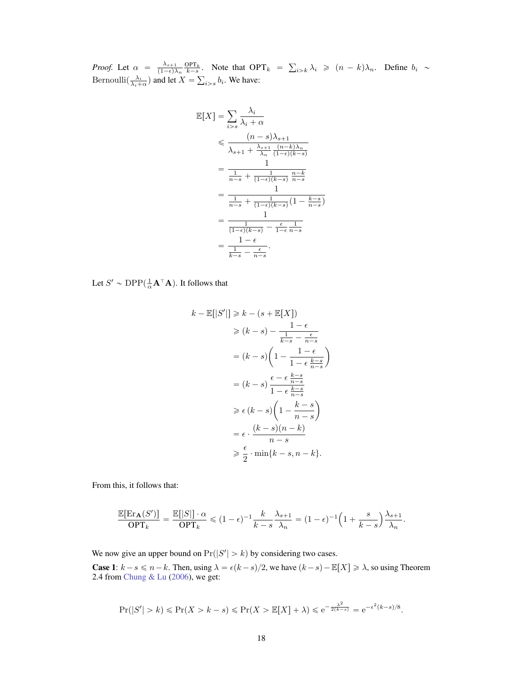*Proof.* Let  $\alpha = \frac{\lambda_{s+1}}{(1-\epsilon)\lambda_n} \frac{\text{OPT}_k}{k-s}$ . Note that  $\text{OPT}_k = \sum_{i > k} \lambda_i \geq (n-k)\lambda_n$ . Define  $b_i \sim$ Bernoulli $\left(\frac{\lambda_i}{\lambda_i + \alpha}\right)$  and let  $X = \sum_{i > s} b_i$ . We have:

$$
\mathbb{E}[X] = \sum_{i>s} \frac{\lambda_i}{\lambda_i + \alpha}
$$
\n
$$
\leqslant \frac{(n-s)\lambda_{s+1}}{\lambda_{s+1} + \frac{\lambda_{s+1}}{\lambda_n} \frac{(n-k)\lambda_n}{(1-\epsilon)(k-s)}}
$$
\n
$$
= \frac{1}{\frac{1}{n-s} + \frac{1}{(1-\epsilon)(k-s)} \frac{n-k}{n-s}}
$$
\n
$$
= \frac{1}{\frac{1}{n-s} + \frac{1}{(1-\epsilon)(k-s)} \left(1 - \frac{k-s}{n-s}\right)}
$$
\n
$$
= \frac{1}{\frac{1}{(1-\epsilon)(k-s)} - \frac{\epsilon}{1-\epsilon} \frac{1}{n-s}}
$$
\n
$$
= \frac{1-\epsilon}{\frac{1}{k-s} - \frac{\epsilon}{n-s}}.
$$

Let  $S' \sim \text{DPP}(\frac{1}{\alpha} \mathbf{A}^\top \mathbf{A})$ . It follows that

$$
k - \mathbb{E}[|S'|] \ge k - (s + \mathbb{E}[X])
$$
  
\n
$$
\ge (k - s) - \frac{1 - \epsilon}{\frac{1}{k - s} - \frac{\epsilon}{n - s}}
$$
  
\n
$$
= (k - s) \left(1 - \frac{1 - \epsilon}{1 - \epsilon \frac{k - s}{n - s}}\right)
$$
  
\n
$$
= (k - s) \frac{\epsilon - \epsilon \frac{k - s}{n - s}}{1 - \epsilon \frac{k - s}{n - s}}
$$
  
\n
$$
\ge \epsilon (k - s) \left(1 - \frac{k - s}{n - s}\right)
$$
  
\n
$$
= \epsilon \cdot \frac{(k - s)(n - k)}{n - s}
$$
  
\n
$$
\ge \frac{\epsilon}{2} \cdot \min\{k - s, n - k\}.
$$

From this, it follows that:

$$
\frac{\mathbb{E}[\text{Er}_{\mathbf{A}}(S')] }{\text{OPT}_k} = \frac{\mathbb{E}[|S|] \cdot \alpha}{\text{OPT}_k} \leq (1 - \epsilon)^{-1} \frac{k}{k - s} \frac{\lambda_{s+1}}{\lambda_n} = (1 - \epsilon)^{-1} \left(1 + \frac{s}{k - s}\right) \frac{\lambda_{s+1}}{\lambda_n}.
$$

<span id="page-5-0"></span>We now give an upper bound on  $Pr(|S'| > k)$  by considering two cases.

**Case 1:**  $k - s \le n - k$ . Then, using  $\lambda = \epsilon (k - s)/2$ , we have  $(k - s) - \mathbb{E}[X] \ge \lambda$ , so using Theorem 2.4 from [Chung & Lu](#page-9-14) [\(2006\)](#page-9-14), we get:

$$
\Pr(|S'| > k) \le \Pr(X > k - s) \le \Pr(X > \mathbb{E}[X] + \lambda) \le e^{-\frac{\lambda^2}{2(k - s)}} = e^{-\epsilon^2 (k - s)/8}.
$$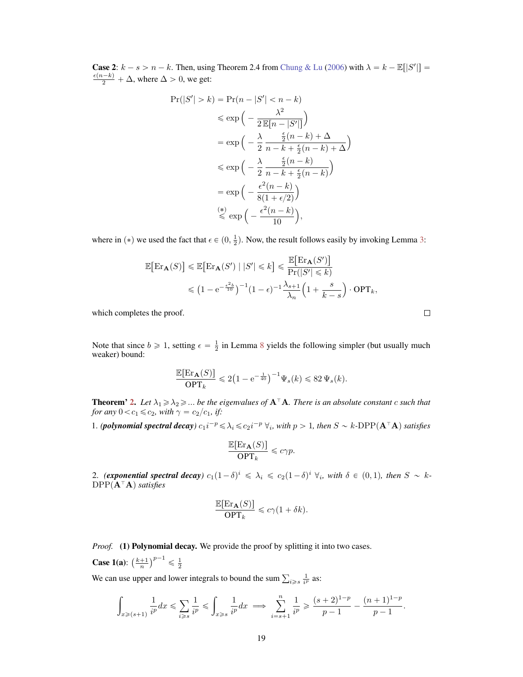**Case 2:**  $k - s > n - k$ . Then, using Theorem 2.4 from [Chung & Lu](#page-9-14) [\(2006\)](#page-9-14) with  $\lambda = k - \mathbb{E}[|S'|] = \frac{\epsilon(n-k)}{k} + \Delta$  where  $\Delta > 0$  we get:  $\frac{\epsilon(n-k)}{2} + \Delta$ , where  $\Delta > 0$ , we get:

$$
\Pr(|S'| > k) = \Pr(n - |S'| < n - k)
$$
  
\n
$$
\leq \exp\left(-\frac{\lambda^2}{2 \mathbb{E}[n - |S'|]}\right)
$$
  
\n
$$
= \exp\left(-\frac{\lambda}{2} \frac{\frac{\epsilon}{2} (n - k) + \Delta}{n - k + \frac{\epsilon}{2} (n - k) + \Delta}\right)
$$
  
\n
$$
\leq \exp\left(-\frac{\lambda}{2} \frac{\frac{\epsilon}{2} (n - k)}{n - k + \frac{\epsilon}{2} (n - k)}\right)
$$
  
\n
$$
= \exp\left(-\frac{\epsilon^2 (n - k)}{8(1 + \epsilon/2)}\right)
$$
  
\n
$$
\leq \exp\left(-\frac{\epsilon^2 (n - k)}{10}\right),
$$

<span id="page-6-0"></span>where in (\*) we used the fact that  $\epsilon \in (0, \frac{1}{2})$ . Now, the result follows easily by invoking Lemma [3:](#page-4-3)

$$
\mathbb{E}\big[\text{Er}_{\mathbf{A}}(S)\big] \le \mathbb{E}\big[\text{Er}_{\mathbf{A}}(S') \mid |S'| \le k\big] \le \frac{\mathbb{E}\big[\text{Er}_{\mathbf{A}}(S')\big]}{\Pr(|S'| \le k)} \le \left(1 - e^{-\frac{\epsilon^2 b}{10}}\right)^{-1} (1 - \epsilon)^{-1} \frac{\lambda_{s+1}}{\lambda_n} \left(1 + \frac{s}{k - s}\right) \cdot \text{OPT}_k,
$$

which completes the proof.

Note that since  $b \ge 1$ , setting  $\epsilon = \frac{1}{2}$  in Lemma [8](#page--1-7) yields the following simpler (but usually much weaker) bound:

$$
\frac{\mathbb{E}[\text{Er}_{\mathbf{A}}(S)]}{\text{OPT}_k} \leq 2\left(1 - e^{-\frac{1}{40}}\right)^{-1} \Psi_s(k) \leq 82 \Psi_s(k).
$$

<span id="page-6-1"></span>**Theorem' [2.](#page-2-0)** Let  $\lambda_1 \geq \lambda_2 \geq \ldots$  be the eigenvalues of  $A^T A$ . There is an absolute constant *c* such that *for any*  $0 < c_1 \le c_2$ *, with*  $\gamma = c_2/c_1$ *, if:* 

1. *(polynomial spectral decay*)  $c_1 i^{-p} \le \lambda_i \le c_2 i^{-p} \ \forall_i$ , with  $p > 1$ , then  $S \sim k$ -DPP $(A^{\top}A)$  satisfies

$$
\frac{\mathbb{E}[\text{Er}_{\mathbf{A}}(S)]}{\text{OPT}_k} \leqslant c\gamma p.
$$

2. *(exponential spectral decay*)  $c_1(1-\delta)^i \le \lambda_i \le c_2(1-\delta)^i \forall i$ , with  $\delta \in (0,1)$ , then  $S \sim k$ - $DPP(\mathbf{A}^{\top}\mathbf{A})$  *satisfies* 

$$
\frac{\mathbb{E}[\text{Er}_{\mathbf{A}}(S)]}{\text{OPT}_k} \leqslant c\gamma(1+\delta k).
$$

*Proof.* (1) Polynomial decay. We provide the proof by splitting it into two cases.

**Case 1(a)**:  $\left(\frac{k+1}{n}\right)^{p-1} \leq \frac{1}{2}$ 

We can use upper and lower integrals to bound the sum  $\sum_{i \geq s} \frac{1}{i^p}$  as:

$$
\int_{x\geqslant (s+1)}\frac{1}{i^p}dx\leqslant \sum_{i\geqslant s} \frac{1}{i^p}\leqslant \int_{x\geqslant s} \frac{1}{i^p}dx \implies \sum_{i=s+1}^n \frac{1}{i^p} \geqslant \frac{(s+2)^{1-p}}{p-1}-\frac{(n+1)^{1-p}}{p-1}.
$$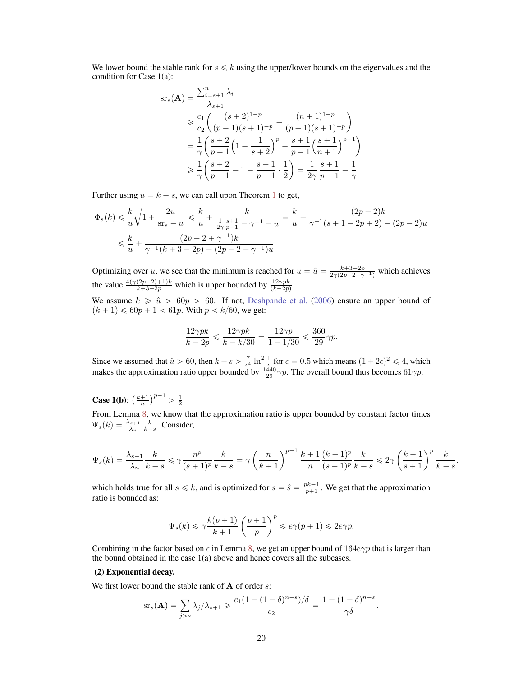We lower bound the stable rank for  $s \leq k$  using the upper/lower bounds on the eigenvalues and the condition for Case 1(a):

$$
\begin{split} \mathrm{sr}_s(\mathbf{A}) &= \frac{\sum_{i=s+1}^n \lambda_i}{\lambda_{s+1}} \\ &\geq \frac{c_1}{c_2} \bigg( \frac{(s+2)^{1-p}}{(p-1)(s+1)^{-p}} - \frac{(n+1)^{1-p}}{(p-1)(s+1)^{-p}} \bigg) \\ &= \frac{1}{\gamma} \bigg( \frac{s+2}{p-1} \bigg( 1 - \frac{1}{s+2} \bigg)^p - \frac{s+1}{p-1} \bigg( \frac{s+1}{n+1} \bigg)^{p-1} \bigg) \\ &\geq \frac{1}{\gamma} \bigg( \frac{s+2}{p-1} - 1 - \frac{s+1}{p-1} \cdot \frac{1}{2} \bigg) = \frac{1}{2\gamma} \frac{s+1}{p-1} - \frac{1}{\gamma}. \end{split}
$$

Further using  $u = k - s$ , we can call upon Theorem [1](#page-1-0) to get,

$$
\begin{aligned} \Phi_s(k) &\leqslant \frac{k}{u}\sqrt{1+\frac{2u}{\text{sr}_s-u}} \leqslant \frac{k}{u}+\frac{k}{\frac{1}{2\gamma}\frac{s+1}{p-1}-\gamma^{-1}-u} = \frac{k}{u}+\frac{(2p-2)k}{\gamma^{-1}(s+1-2p+2)-(2p-2)u} \\ &\leqslant \frac{k}{u}+\frac{(2p-2+\gamma^{-1})k}{\gamma^{-1}(k+3-2p)-(2p-2+\gamma^{-1})u} \end{aligned}
$$

Optimizing over *u*, we see that the minimum is reached for  $u = \hat{u} = \frac{k+3-2p}{2\gamma(2p-2+\gamma^{-1})}$  which achieves the value  $\frac{4(\gamma(2p-2)+1)k}{k+3-2p}$  which is upper bounded by  $\frac{12\gamma pk}{(k-2p)}$ .

We assume  $k \geq \hat{u} > 60p > 60$ . If not, [Deshpande et al.](#page-10-0) [\(2006\)](#page-10-0) ensure an upper bound of  $(k + 1) \le 60p + 1 < 61p$ . With  $p < k/60$ , we get:

$$
\frac{12\gamma pk}{k-2p} \leq \frac{12\gamma pk}{k-k/30} = \frac{12\gamma p}{1-1/30} \leq \frac{360}{29}\gamma p.
$$

Since we assumed that  $\hat{u} > 60$ , then  $k - s > \frac{7}{\epsilon^4} \ln^2 \frac{1}{\epsilon}$  for  $\epsilon = 0.5$  which means  $(1 + 2\epsilon)^2 \le 4$ , which makes the approximation ratio upper bounded by  $\frac{1440}{29}$   $\gamma p$ . The overall bound thus becomes 61 $\gamma p$ .

**Case 1(b):**  $\left(\frac{k+1}{n}\right)^{p-1} > \frac{1}{2}$ 

From Lemma [8,](#page--1-7) we know that the approximation ratio is upper bounded by constant factor times  $\Psi_s(k) = \frac{\lambda_{s+1}}{\lambda_n} \frac{k}{k-s}$ . Consider,

$$
\Psi_s(k) = \frac{\lambda_{s+1}}{\lambda_n} \frac{k}{k-s} \le \gamma \frac{n^p}{(s+1)^p} \frac{k}{k-s} = \gamma \left(\frac{n}{k+1}\right)^{p-1} \frac{k+1}{n} \frac{(k+1)^p}{(s+1)^p} \frac{k}{k-s} \le 2\gamma \left(\frac{k+1}{s+1}\right)^p \frac{k}{k-s},
$$

which holds true for all  $s \le k$ , and is optimized for  $s = \hat{s} = \frac{pk-1}{p+1}$ . We get that the approximation ratio is bounded as:

$$
\Psi_s(k) \leqslant \gamma \frac{k(p+1)}{k+1} \left(\frac{p+1}{p}\right)^p \leqslant e \gamma(p+1) \leqslant 2e \gamma p.
$$

Combining in the factor based on  $\epsilon$  in Lemma [8,](#page--1-7) we get an upper bound of  $164e\gamma p$  that is larger than the bound obtained in the case 1(a) above and hence covers all the subcases.

## (2) Exponential decay.

We first lower bound the stable rank of A of order *s*:

$$
sr_s(\mathbf{A}) = \sum_{j>s} \lambda_j/\lambda_{s+1} \geqslant \frac{c_1(1-(1-\delta)^{n-s})/\delta}{c_2} = \frac{1-(1-\delta)^{n-s}}{\gamma\delta}.
$$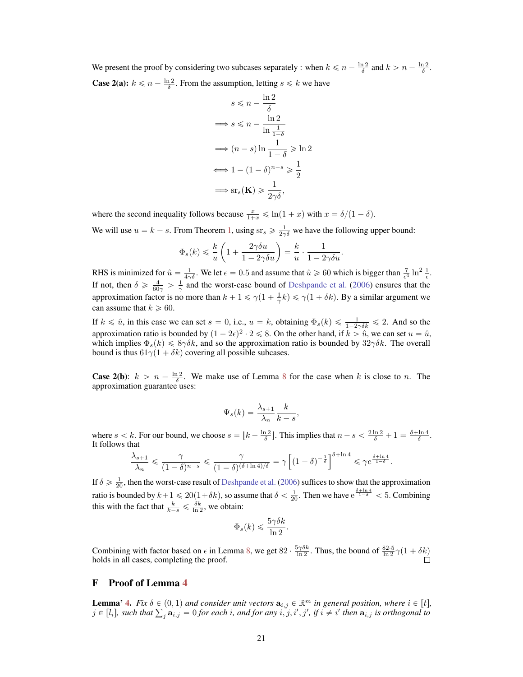We present the proof by considering two subcases separately : when  $k \leq n - \frac{\ln 2}{\delta}$  and  $k > n - \frac{\ln 2}{\delta}$ . **Case 2(a):**  $k \le n - \frac{\ln 2}{\delta}$ . From the assumption, letting  $s \le k$  we have

$$
s \leq n - \frac{\ln 2}{\delta}
$$
  
\n
$$
\implies s \leq n - \frac{\ln 2}{\ln \frac{1}{1 - \delta}}
$$
  
\n
$$
\implies (n - s) \ln \frac{1}{1 - \delta} \geq \ln 2
$$
  
\n
$$
\implies 1 - (1 - \delta)^{n - s} \geq \frac{1}{2}
$$
  
\n
$$
\implies \text{sr}_s(\mathbf{K}) \geq \frac{1}{2\gamma\delta},
$$

where the second inequality follows because  $\frac{x}{1+x} \leq \ln(1+x)$  with  $x = \delta/(1-\delta)$ .

We will use  $u = k - s$ . From Theorem [1,](#page-1-0) using  $s r_s \geq \frac{1}{2\gamma \delta}$  we have the following upper bound:

$$
\Phi_s(k) \leqslant \frac{k}{u} \left( 1 + \frac{2\gamma \delta u}{1 - 2\gamma \delta u} \right) = \frac{k}{u} \cdot \frac{1}{1 - 2\gamma \delta u}.
$$

RHS is minimized for  $\hat{u} = \frac{1}{4\gamma\delta}$ . We let  $\epsilon = 0.5$  and assume that  $\hat{u} \ge 60$  which is bigger than  $\frac{7}{\epsilon^4} \ln^2 \frac{1}{\epsilon}$ . If not, then  $\delta \ge \frac{4}{60\gamma} > \frac{1}{\gamma}$  and the worst-case bound of [Deshpande et al.](#page-10-0) [\(2006\)](#page-10-0) ensures that the approximation factor is no more than  $k + 1 \le \gamma(1 + \frac{1}{\gamma}k) \le \gamma(1 + \delta k)$ . By a similar argument we can assume that  $k \geq 60$ .

If  $k \leq \hat{u}$ , in this case we can set  $s = 0$ , i.e.,  $u = k$ , obtaining  $\Phi_s(k) \leq \frac{1}{1-2\gamma\delta k} \leq 2$ . And so the approximation ratio is bounded by  $(1 + 2\epsilon)^2 \cdot 2 \le 8$ . On the other hand, if  $k > \hat{u}$ , we can set  $u = \hat{u}$ , which implies  $\Phi_s(k) \leq 8\gamma \delta k$ , and so the approximation ratio is bounded by  $32\gamma \delta k$ . The overall bound is thus  $61\gamma(1 + \delta k)$  covering all possible subcases.

<span id="page-8-1"></span>**Case 2(b):**  $k > n - \frac{\ln 2}{\delta}$ . We make use of Lemma [8](#page--1-7) for the case when k is close to n. The approximation guarantee uses:

$$
\Psi_s(k) = \frac{\lambda_{s+1}}{\lambda_n} \frac{k}{k-s},
$$

<span id="page-8-0"></span>where  $s < k$ . For our bound, we choose  $s = \lfloor k - \frac{\ln 2}{\delta} \rfloor$ . This implies that  $n - s < \frac{2 \ln 2}{\delta} + 1 = \frac{\delta + \ln 4}{\delta}$ . It follows that

$$
\frac{\lambda_{s+1}}{\lambda_n} \leqslant \frac{\gamma}{(1-\delta)^{n-s}} \leqslant \frac{\gamma}{(1-\delta)^{(\delta+\ln 4)/\delta}} = \gamma \left[ (1-\delta)^{-\frac{1}{\delta}} \right]^{\delta+\ln 4} \leqslant \gamma e^{\frac{\delta+\ln 4}{1-\delta}}.
$$

<span id="page-8-3"></span>If  $\delta \ge \frac{1}{20}$ , then the worst-case result of [Deshpande et al.](#page-10-0) [\(2006\)](#page-10-0) suffices to show that the approximation ratio is bounded by  $k+1 \le 20(1+\delta k)$ , so assume that  $\delta < \frac{1}{20}$ . Then we have  $e^{\frac{\delta + \ln 4}{1-\delta}} < 5$ . Combining this with the fact that  $\frac{k}{k-s} \leq \frac{\delta k}{\ln 2}$ , we obtain:

$$
\Phi_s(k) \leqslant \frac{5\gamma \delta k}{\ln 2}.
$$

<span id="page-8-2"></span>Combining with factor based on  $\epsilon$  in Lemma [8,](#page--1-7) we get 82  $\cdot \frac{5\gamma\delta k}{\ln 2}$ . Thus, the bound of  $\frac{82.5}{\ln 2}\gamma(1+\delta k)$ holds in all cases, completing the proof.

# F Proof of Lemma [4](#page-6-0)

**Lemma' [4.](#page-6-0)** *Fix*  $\delta \in (0,1)$  and consider unit vectors  $\mathbf{a}_{i,j} \in \mathbb{R}^m$  in general position, where  $i \in [t]$ ,  $j \in [l_i]$ , such that  $\sum_j \mathbf{a}_{i,j} = 0$  for each i, and for any  $i, j, i', j',$  if  $i \neq i'$  then  $\mathbf{a}_{i,j}$  is orthogonal to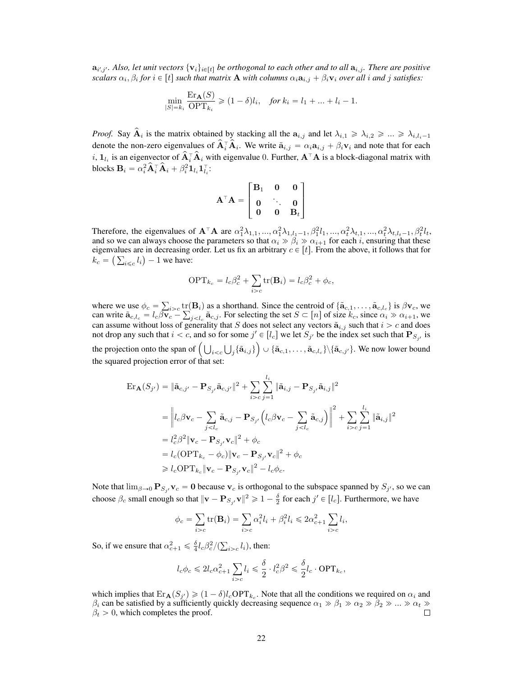<span id="page-9-8"></span><span id="page-9-5"></span> $a_{i',j'}$ . Also, let unit vectors  $\{v_i\}_{i\in[t]}$  be orthogonal to each other and to all  $a_{i,j}$ . There are positive *scalars*  $\alpha_i, \beta_i$  *for*  $i \in [t]$  *such that matrix* **A** *with columns*  $\alpha_i$ **a**<sub>*i*, *i*</del>  $+ \beta_i$ **v***i over all i and j satisfies:*</sub>

$$
\min_{|S|=k_i} \frac{\operatorname{Er}_{\mathbf{A}}(S)}{\operatorname{OPT}_{k_i}} \geq (1-\delta)l_i, \quad \text{for } k_i = l_1 + \dots + l_i - 1.
$$

<span id="page-9-7"></span><span id="page-9-6"></span><span id="page-9-1"></span>*Proof.* Say  $\hat{A}_i$  is the matrix obtained by stacking all the  $a_{i,j}$  and let  $\lambda_{i,1} \geq \lambda_{i,2} \geq \ldots \geq \lambda_{i,l_i-1}$ denote the non-zero eigenvalues of  $A_i^{\dagger} A_i$ . We write  $\tilde{a}_{i,j} = \alpha_i a_{i,j} + \beta_i v_i$  and note that for each *i*,  $1_{l_i}$  is an eigenvector of  $A_i^{\dagger} A_i$  with eigenvalue 0. Further,  $A^{\dagger} A$  is a block-diagonal matrix with blocks  $\mathbf{B}_i = \alpha_i^2 \mathbf{\hat{A}}_i^{\top} \mathbf{\hat{A}}_i + \beta_i^2 \mathbf{1}_{l_i} \mathbf{1}_{l_i}^{\top}$ :

$$
\mathbf{A}^\top \mathbf{A} = \begin{bmatrix} \mathbf{B}_1 & \mathbf{0} & \mathbf{0} \\ \mathbf{0} & \ddots & \mathbf{0} \\ \mathbf{0} & \mathbf{0} & \mathbf{B}_t \end{bmatrix}
$$

<span id="page-9-2"></span><span id="page-9-0"></span>Therefore, the eigenvalues of  $A^{\top}A$  are  $\alpha_1^2 \lambda_{1,1}, ..., \alpha_1^2 \lambda_{1,l_1-1}, \beta_1^2 l_1, ..., \alpha_t^2 \lambda_{t,1}, ..., \alpha_t^2 \lambda_{t,l_t-1}, \beta_t^2 l_t$ , and so we can always choose the parameters so that  $\alpha_i \gg \beta_i \gg \alpha_{i+1}$  for each *i*, ensuring that these eigenvalues are in decreasing order. Let us fix an arbitrary  $c \in [t]$ . From the above, it follows that for  $k_c = \left(\sum_{i \leq c} l_i\right) - 1$  we have:

$$
\text{OPT}_{k_c} = l_c \beta_c^2 + \sum_{i>c} \text{tr}(\mathbf{B}_i) = l_c \beta_c^2 + \phi_c,
$$

<span id="page-9-13"></span><span id="page-9-4"></span>where we use  $\phi_c = \sum_{i > c} \text{tr}(\mathbf{B}_i)$  as a shorthand. Since the centroid of  $\{\tilde{\mathbf{a}}_{c,1}, \dots, \tilde{\mathbf{a}}_{c,l_c}\}$  is  $\beta \mathbf{v}_c$ , we can write  $\tilde{\mathbf{a}}_{c,l_c} = l_c \tilde{\beta} \mathbf{v}_c - \sum_{j < l_c} \tilde{\mathbf{a}}_{c,j}$ . For selecting the set  $S \subset [n]$  of size  $k_c$ , since  $\alpha_i \gg \alpha_{i+1}$ , we can assume without loss of generality that *S* does not select any vectors  $\tilde{\mathbf{a}}_{i,j}$  such that  $i > c$  and does not drop any such that  $i < c$ , and so for some  $j' \in [l_c]$  we let  $S_{j'}$  be the index set such that  $P_{S_{j'}}$  is the projection onto the span of  $(\bigcup_{i < c} \bigcup_j \{\tilde{\mathbf{a}}_{i,j}\} \cup \{\tilde{\mathbf{a}}_{c,1}, \ldots, \tilde{\mathbf{a}}_{c,l_c}\} \setminus \{\tilde{\mathbf{a}}_{c,j'}\}$ . We now lower bound the squared projection error of that set:

$$
\begin{split} \text{Er}_{\mathbf{A}}(S_{j'}) &= \|\tilde{\mathbf{a}}_{c,j'} - \mathbf{P}_{S_{j'}}\tilde{\mathbf{a}}_{c,j'}\|^2 + \sum_{i>c} \sum_{j=1}^{l_i} \|\tilde{\mathbf{a}}_{i,j} - \mathbf{P}_{S_{j'}}\tilde{\mathbf{a}}_{i,j}\|^2 \\ &= \left\|l_c\beta\mathbf{v}_c - \sum_{jc} \sum_{j=1}^{l_i} \|\tilde{\mathbf{a}}_{i,j}\|^2 \\ &= l_c^2\beta^2 \|\mathbf{v}_c - \mathbf{P}_{S_{j'}}\mathbf{v}_c\|^2 + \phi_c \\ &= l_c(\text{OPT}_{k_c} - \phi_c) \|\mathbf{v}_c - \mathbf{P}_{S_{j'}}\mathbf{v}_c\|^2 + \phi_c \\ &\geq l_c\text{OPT}_{k_c} \|\mathbf{v}_c - \mathbf{P}_{S_{j'}}\mathbf{v}_c\|^2 - l_c\phi_c. \end{split}
$$

<span id="page-9-14"></span><span id="page-9-11"></span><span id="page-9-3"></span>Note that  $\lim_{\beta\to 0} P_{S_i}v_c = 0$  because  $v_c$  is orthogonal to the subspace spanned by  $S_j$ , so we can choose  $\beta_c$  small enough so that  $\|\mathbf{v} - \mathbf{P}_{S_j} \mathbf{v}\|^2 \geqslant 1 - \frac{\delta}{2}$  for each  $j' \in [l_c].$  Furthermore, we have

$$
\phi_c = \sum_{i>c} \text{tr}(\mathbf{B}_i) = \sum_{i>c} \alpha_i^2 l_i + \beta_i^2 l_i \leq 2\alpha_{c+1}^2 \sum_{i>c} l_i,
$$

<span id="page-9-10"></span><span id="page-9-9"></span>So, if we ensure that  $\alpha_{c+1}^2 \leq \frac{\delta}{4} l_c \beta_c^2 / (\sum_{i>c} l_i)$ , then:

$$
l_c \phi_c \leq 2l_c \alpha_{c+1}^2 \sum_{i>c} l_i \leq \frac{\delta}{2} \cdot l_c^2 \beta^2 \leq \frac{\delta}{2} l_c \cdot \text{OPT}_{k_c},
$$

<span id="page-9-12"></span>which implies that  $\text{Er}_{\mathbf{A}}(S_{j'}) \geq (1 - \delta)l_c\text{OPT}_{k_c}$ . Note that all the conditions we required on  $\alpha_i$  and  $\beta_i$  can be satisfied by a sufficiently quickly decreasing sequence  $\alpha_1 \gg \beta_1 \gg \alpha_2 \gg \beta_2 \gg ... \gg \alpha_t \gg \beta_t > 0$ . which completes the proof.  $\beta_t > 0$ , which completes the proof.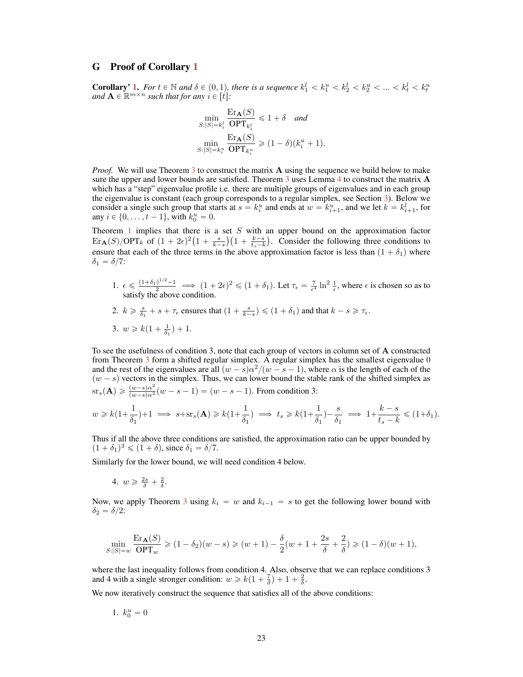### <span id="page-10-8"></span>G Proof of Corollary [1](#page-3-0)

<span id="page-10-7"></span>**Corollary' [1.](#page-3-0)** For  $t \in \mathbb{N}$  and  $\delta \in (0,1)$ , there is a sequence  $k_1^l < k_1^u < k_2^l < k_2^u < \ldots < k_t^l < k_t^u$ *and*  $\mathbf{A} \in \mathbb{R}^{m \times n}$  *such that for any*  $i \in [t]$ *:* 

$$
\min_{S:|S|=k_i^l} \frac{\operatorname{Er}_{\mathbf{A}}(S)}{\operatorname{OPT}_{k_i^l}} \le 1+\delta \quad and
$$

$$
\min_{S:|S|=k_i^u} \frac{\operatorname{Er}_{\mathbf{A}}(S)}{\operatorname{OPT}_{k_i^u}} \ge (1-\delta)(k_i^u+1).
$$

<span id="page-10-10"></span><span id="page-10-9"></span>*Proof.* We will use Theorem [3](#page-2-1) to construct the matrix **A** using the sequence we build below to make sure the upper and lower bounds are satisfied. Theorem [3](#page-2-1) uses Lemma [4](#page-6-0) to construct the matrix  $\bf{A}$ which has a "step" eigenvalue profile i.e. there are multiple groups of eigenvalues and in each group the eigenvalue is constant (each group corresponds to a regular simplex, see Section [3\)](#page-5-0). Below we consider a single such group that starts at  $s = k_i^u$  and ends at  $w = k_{i+1}^u$ , and we let  $k = k_{i+1}^l$ , for any  $i \in \{0, \ldots, t-1\}$ , with  $k_0^u = 0$ .

<span id="page-10-0"></span>Theorem [1](#page-1-0) implies that there is a set *S* with an upper bound on the approximation factor  $\text{Err}_{\mathbf{A}}(S)/\text{OPT}_{k}$  of  $(1 + 2\epsilon)^2 \left(1 + \frac{s}{k-s}\right) \left(1 + \frac{k-s}{t_s - k}\right)$ . Consider the following three conditions to ensure that each of the three terms in the above approximation factor is less than  $(1 + \delta_1)$  where  $\delta_1 = \delta/7$ :

- <span id="page-10-4"></span>1.  $\epsilon \leq \frac{(1+\delta_1)^{1/2}-1}{2}$   $\implies$   $(1+2\epsilon)^2 \leq (1+\delta_1)$ . Let  $\tau_{\epsilon} = \frac{7}{\epsilon^4} \ln^2 \frac{1}{\epsilon}$ , where  $\epsilon$  is chosen so as to satisfy the above condition.
- <span id="page-10-3"></span>2.  $k \geq \frac{s}{\delta_1} + s + \tau_{\epsilon}$  ensures that  $\left(1 + \frac{s}{k-s}\right) \leq \left(1 + \delta_1\right)$  and that  $k - s \geq \tau_{\epsilon}$ . 3.  $w \geq k(1 + \frac{1}{\delta_1}) + 1$ .

<span id="page-10-14"></span><span id="page-10-6"></span>To see the usefulness of condition 3, note that each group of vectors in column set of A constructed from Theorem [3](#page-2-1) form a shifted regular simplex. A regular simplex has the smallest eigenvalue 0 and the rest of the eigenvalues are all  $(w - s)\alpha^2/(w - s - 1)$ , where  $\alpha$  is the length of each of the  $(w - s)$  vectors in the simplex. Thus, we can lower bound the stable rank of the shifted simplex as  $s = s(\mathbf{A}) \geq \frac{(w-s)\alpha^2}{(w-s)\alpha^2}(w-s-1) = (w-s-1)$ . From condition 3:

<span id="page-10-12"></span>
$$
w\geqslant k\big(1+\frac{1}{\delta_1}\big)+1\implies s+{\rm sr}_s(\mathbf A)\geqslant k\big(1+\frac{1}{\delta_1}\big)\implies t_s\geqslant k\big(1+\frac{1}{\delta_1}\big)-\frac{s}{\delta_1}\implies 1+\frac{k-s}{t_s-k}\leqslant \big(1+\delta_1\big).
$$

<span id="page-10-1"></span>Thus if all the above three conditions are satisfied, the approximation ratio can be upper bounded by  $(1 + \delta_1)^3 \leq (1 + \delta)$ , since  $\delta_1 = \delta/7$ .

<span id="page-10-5"></span>Similarly for the lower bound, we will need condition 4 below.

4. 
$$
w \geqslant \frac{2s}{\delta} + \frac{2}{\delta}
$$
.

Now, we apply Theorem [3](#page-2-1) using  $k_i = w$  and  $k_{i-1} = s$  to get the following lower bound with  $\delta_2 = \delta/2$ :

<span id="page-10-13"></span>
$$
\min_{S:|S|=w} \frac{\text{Er}_{\mathbf{A}}(S)}{\text{OPT}_w} \geq (1-\delta_2)(w-s) \geq (w+1) - \frac{\delta}{2}(w+1+\frac{2s}{\delta}+\frac{2}{\delta}) \geq (1-\delta)(w+1),
$$

<span id="page-10-2"></span>where the last inequality follows from condition 4. Also, observe that we can replace conditions 3 and 4 with a single stronger condition:  $w \ge k(1 + \frac{7}{\delta}) + 1 + \frac{2}{\delta}$ .

<span id="page-10-11"></span>We now iteratively construct the sequence that satisfies all of the above conditions:

1.  $k_0^u = 0$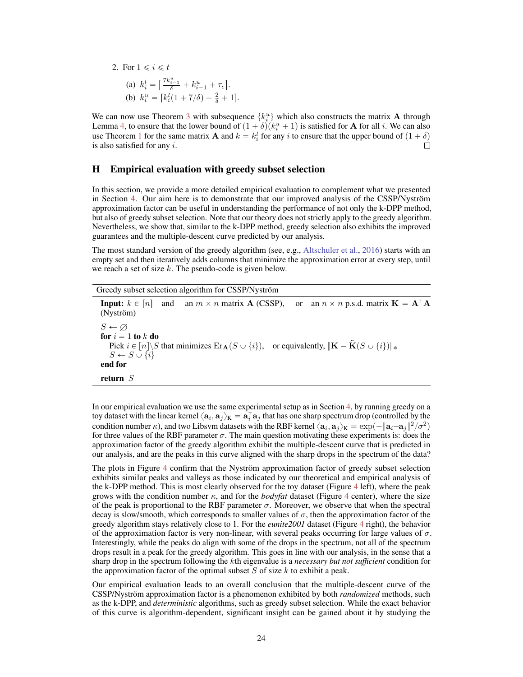<span id="page-11-5"></span>2. For 
$$
1 \le i \le t
$$
  
\n(a)  $k_i^l = \left[\frac{7k_{i-1}^u}{\delta} + k_{i-1}^u + \tau_{\epsilon}\right]$ .  
\n(b)  $k_i^u = [k_i^l(1 + 7/\delta) + \frac{2}{\delta} + 1]$ .

<span id="page-11-4"></span>We can now use Theorem [3](#page-2-1) with subsequence  $\{k_i^u\}$  which also constructs the matrix A through Lemma [4,](#page-6-0) to ensure that the lower bound of  $(1 + \delta)(k_i^u + 1)$  is satisfied for **A** for all *i*. We can also use Theorem [1](#page-1-0) for the same matrix **A** and  $k = k_i^l$  for any *i* to ensure that the upper bound of  $(1 + \delta)$ is also satisfied for any *i*.

# <span id="page-11-3"></span>H Empirical evaluation with greedy subset selection

<span id="page-11-8"></span>In this section, we provide a more detailed empirical evaluation to complement what we presented in Section [4.](#page-6-1) Our aim here is to demonstrate that our improved analysis of the CSSP/Nyström approximation factor can be useful in understanding the performance of not only the k-DPP method, but also of greedy subset selection. Note that our theory does not strictly apply to the greedy algorithm. Nevertheless, we show that, similar to the k-DPP method, greedy selection also exhibits the improved guarantees and the multiple-descent curve predicted by our analysis.

<span id="page-11-7"></span><span id="page-11-1"></span>The most standard version of the greedy algorithm (see, e.g., [Altschuler et al.,](#page-8-0) [2016\)](#page-8-0) starts with an empty set and then iteratively adds columns that minimize the approximation error at every step, until we reach a set of size *k*. The pseudo-code is given below.

<span id="page-11-10"></span><span id="page-11-0"></span>

| Greedy subset selection algorithm for CSSP/Nyström                                                                                                                                                                                                     |
|--------------------------------------------------------------------------------------------------------------------------------------------------------------------------------------------------------------------------------------------------------|
| <b>Input:</b> $k \in [n]$ and an $m \times n$ matrix <b>A</b> (CSSP),<br>or an $n \times n$ p.s.d. matrix $\mathbf{K} = \mathbf{A}^{\dagger} \mathbf{A}$<br>(Nyström)                                                                                  |
| $S \leftarrow \varnothing$<br>for $i=1$ to k do<br>Pick $i \in [n] \backslash S$ that minimizes $\text{Er}_{\mathbf{A}}(S \cup \{i\}),$ or equivalently, $\ \mathbf{K} - \hat{\mathbf{K}}(S \cup \{i\})\ _*$<br>$S \leftarrow S \cup \{i\}$<br>end for |
| return $S$                                                                                                                                                                                                                                             |

<span id="page-11-6"></span><span id="page-11-2"></span>In our empirical evaluation we use the same experimental setup as in Section [4,](#page-6-1) by running greedy on a toy dataset with the linear kernel  $\langle a_i, a_j \rangle_K = a_i^{\dagger} a_j$  that has one sharp spectrum drop (controlled by the condition number  $\kappa$ ), and two Libsvm datasets with the RBF kernel  $\langle a_i, a_j \rangle_K = \exp(-\|\mathbf{a}_i - \mathbf{a}_j\|^2 / \sigma^2)$ for three values of the RBF parameter  $\sigma$ . The main question motivating these experiments is: does the approximation factor of the greedy algorithm exhibit the multiple-descent curve that is predicted in our analysis, and are the peaks in this curve aligned with the sharp drops in the spectrum of the data?

<span id="page-11-9"></span>The plots in Figure [4](#page--1-8) confirm that the Nyström approximation factor of greedy subset selection exhibits similar peaks and valleys as those indicated by our theoretical and empirical analysis of the k-DPP method. This is most clearly observed for the toy dataset (Figure [4](#page--1-8) left), where the peak grows with the condition number  $\kappa$ , and for the *bodyfat* dataset (Figure [4](#page--1-8) center), where the size of the peak is proportional to the RBF parameter  $\sigma$ . Moreover, we observe that when the spectral decay is slow/smooth, which corresponds to smaller values of  $\sigma$ , then the approximation factor of the greedy algorithm stays relatively close to 1. For the *eunite2001* dataset (Figure [4](#page--1-8) right), the behavior of the approximation factor is very non-linear, with several peaks occurring for large values of  $\sigma$ . Interestingly, while the peaks do align with some of the drops in the spectrum, not all of the spectrum drops result in a peak for the greedy algorithm. This goes in line with our analysis, in the sense that a sharp drop in the spectrum following the *k*th eigenvalue is a *necessary but not sufficient* condition for the approximation factor of the optimal subset *S* of size *k* to exhibit a peak.

Our empirical evaluation leads to an overall conclusion that the multiple-descent curve of the CSSP/Nyström approximation factor is a phenomenon exhibited by both *randomized* methods, such as the k-DPP, and *deterministic* algorithms, such as greedy subset selection. While the exact behavior of this curve is algorithm-dependent, significant insight can be gained about it by studying the